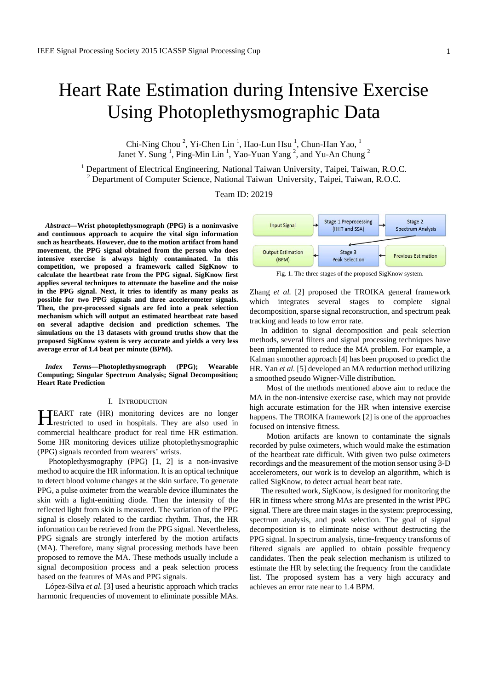# Heart Rate Estimation during Intensive Exercise Using Photoplethysmographic Data

Chi-Ning Chou<sup>2</sup>, Yi-Chen Lin<sup>1</sup>, Hao-Lun Hsu<sup>1</sup>, Chun-Han Yao,<sup>1</sup> Janet Y. Sung<sup>1</sup>, Ping-Min Lin<sup>1</sup>, Yao-Yuan Yang<sup>2</sup>, and Yu-An Chung<sup>2</sup>

<sup>1</sup> Department of Electrical Engineering, National Taiwan University, Taipei, Taiwan, R.O.C. <sup>2</sup> Department of Computer Science, National Taiwan University, Taipei, Taiwan, R.O.C.

# Team ID: 20219

*Abstract***—Wrist photoplethysmograph (PPG) is a noninvasive and continuous approach to acquire the vital sign information such as heartbeats. However, due to the motion artifact from hand movement, the PPG signal obtained from the person who does intensive exercise is always highly contaminated. In this competition, we proposed a framework called SigKnow to calculate the heartbeat rate from the PPG signal. SigKnow first applies several techniques to attenuate the baseline and the noise in the PPG signal. Next, it tries to identify as many peaks as possible for two PPG signals and three accelerometer signals. Then, the pre-processed signals are fed into a peak selection mechanism which will output an estimated heartbeat rate based on several adaptive decision and prediction schemes. The simulations on the 13 datasets with ground truths show that the proposed SigKnow system is very accurate and yields a very less average error of 1.4 beat per minute (BPM).** 

*Index Terms***—Photoplethysmograph (PPG); Wearable Computing; Singular Spectrum Analysis; Signal Decomposition; Heart Rate Prediction** 

### I. INTRODUCTION

EART rate (HR) monitoring devices are no longer HEART rate (HR) monitoring devices are no longer restricted to used in hospitals. They are also used in commercial healthcare product for real time HR estimation. Some HR monitoring devices utilize photoplethysmographic (PPG) signals recorded from wearers' wrists.

Photoplethysmography (PPG) [1, 2] is a non-invasive method to acquire the HR information. It is an optical technique to detect blood volume changes at the skin surface. To generate PPG, a pulse oximeter from the wearable device illuminates the skin with a light-emitting diode. Then the intensity of the reflected light from skin is measured. The variation of the PPG signal is closely related to the cardiac rhythm. Thus, the HR information can be retrieved from the PPG signal. Nevertheless, PPG signals are strongly interfered by the motion artifacts (MA). Therefore, many signal processing methods have been proposed to remove the MA. These methods usually include a signal decomposition process and a peak selection process based on the features of MAs and PPG signals.

López-Silva *et al.* [3] used a heuristic approach which tracks harmonic frequencies of movement to eliminate possible MAs.



Fig. 1. The three stages of the proposed SigKnow system.

Zhang *et al.* [2] proposed the TROIKA general framework which integrates several stages to complete signal decomposition, sparse signal reconstruction, and spectrum peak tracking and leads to low error rate.

In addition to signal decomposition and peak selection methods, several filters and signal processing techniques have been implemented to reduce the MA problem. For example, a Kalman smoother approach [4] has been proposed to predict the HR. Yan *et al.* [5] developed an MA reduction method utilizing a smoothed pseudo Wigner-Ville distribution.

Most of the methods mentioned above aim to reduce the MA in the non-intensive exercise case, which may not provide high accurate estimation for the HR when intensive exercise happens. The TROIKA framework [2] is one of the approaches focused on intensive fitness.

Motion artifacts are known to contaminate the signals recorded by pulse oximeters, which would make the estimation of the heartbeat rate difficult. With given two pulse oximeters recordings and the measurement of the motion sensor using 3-D accelerometers, our work is to develop an algorithm, which is called SigKnow, to detect actual heart beat rate.

The resulted work, SigKnow, is designed for monitoring the HR in fitness where strong MAs are presented in the wrist PPG signal. There are three main stages in the system: preprocessing, spectrum analysis, and peak selection. The goal of signal decomposition is to eliminate noise without destructing the PPG signal. In spectrum analysis, time-frequency transforms of filtered signals are applied to obtain possible frequency candidates. Then the peak selection mechanism is utilized to estimate the HR by selecting the frequency from the candidate list. The proposed system has a very high accuracy and achieves an error rate near to 1.4 BPM.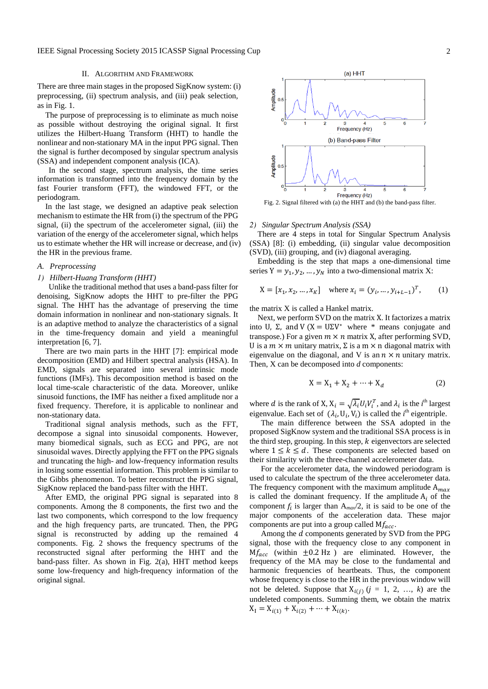## II. ALGORITHM AND FRAMEWORK

There are three main stages in the proposed SigKnow system: (i) preprocessing, (ii) spectrum analysis, and (iii) peak selection, as in Fig. 1.

The purpose of preprocessing is to eliminate as much noise as possible without destroying the original signal. It first utilizes the Hilbert-Huang Transform (HHT) to handle the nonlinear and non-stationary MA in the input PPG signal. Then the signal is further decomposed by singular spectrum analysis (SSA) and independent component analysis (ICA).

In the second stage, spectrum analysis, the time series information is transformed into the frequency domain by the fast Fourier transform (FFT), the windowed FFT, or the periodogram.

In the last stage, we designed an adaptive peak selection mechanism to estimate the HR from (i) the spectrum of the PPG signal, (ii) the spectrum of the accelerometer signal, (iii) the variation of the energy of the accelerometer signal, which helps us to estimate whether the HR will increase or decrease, and (iv) the HR in the previous frame.

# *A. Preprocessing*

# *1) Hilbert-Huang Transform (HHT)*

Unlike the traditional method that uses a band-pass filter for denoising, SigKnow adopts the HHT to pre-filter the PPG signal. The HHT has the advantage of preserving the time domain information in nonlinear and non-stationary signals. It is an adaptive method to analyze the characteristics of a signal in the time-frequency domain and yield a meaningful interpretation [6, 7].

There are two main parts in the HHT [7]: empirical mode decomposition (EMD) and Hilbert spectral analysis (HSA). In EMD, signals are separated into several intrinsic mode functions (IMFs). This decomposition method is based on the local time-scale characteristic of the data. Moreover, unlike sinusoid functions, the IMF has neither a fixed amplitude nor a fixed frequency. Therefore, it is applicable to nonlinear and non-stationary data.

Traditional signal analysis methods, such as the FFT, decompose a signal into sinusoidal components. However, many biomedical signals, such as ECG and PPG, are not sinusoidal waves. Directly applying the FFT on the PPG signals and truncating the high- and low-frequency information results in losing some essential information. This problem is similar to the Gibbs phenomenon. To better reconstruct the PPG signal, SigKnow replaced the band-pass filter with the HHT.

After EMD, the original PPG signal is separated into 8 components. Among the 8 components, the first two and the last two components, which correspond to the low frequency and the high frequency parts, are truncated. Then, the PPG signal is reconstructed by adding up the remained 4 components. Fig. 2 shows the frequency spectrums of the reconstructed signal after performing the HHT and the band-pass filter. As shown in Fig. 2(a), HHT method keeps some low-frequency and high-frequency information of the original signal.



Fig. 2. Signal filtered with (a) the HHT and (b) the band-pass filter.

#### *2) Singular Spectrum Analysis (SSA)*

There are 4 steps in total for Singular Spectrum Analysis (SSA) [8]: (i) embedding, (ii) singular value decomposition (SVD), (iii) grouping, and (iv) diagonal averaging.

Embedding is the step that maps a one-dimensional time series  $Y = y_1, y_2, ..., y_N$  into a two-dimensional matrix X:

$$
X = [x_1, x_2, ..., x_K]
$$
 where  $x_i = (y_i, ..., y_{i+L-1})^T$ , (1)

the matrix X is called a Hankel matrix.

Next, we perform SVD on the matrix X. It factorizes a matrix into U, Σ, and V ( $X = U\Sigma V^*$  where \* means conjugate and transpose.) For a given  $m \times n$  matrix X, after performing SVD, U is a  $m \times m$  unitary matrix,  $\Sigma$  is a m  $\times$  n diagonal matrix with eigenvalue on the diagonal, and V is an  $n \times n$  unitary matrix. Then, X can be decomposed into *d* components:

$$
X = X_1 + X_2 + \dots + X_d \tag{2}
$$

where *d* is the rank of X,  $X_i = \sqrt{\lambda_i} U_i V_i^T$ , and  $\lambda_i$  is the *i*<sup>th</sup> largest eigenvalue. Each set of  $(\lambda_i, U_i, V_i)$  is called the *i*<sup>th</sup> eigentriple.

The main difference between the SSA adopted in the proposed SigKnow system and the traditional SSA process is in the third step, grouping. In this step,  $k$  eigenvectors are selected where  $1 \leq k \leq d$ . These components are selected based on their similarity with the three-channel accelerometer data.

For the accelerometer data, the windowed periodogram is used to calculate the spectrum of the three accelerometer data. The frequency component with the maximum amplitude  $A_{max}$ is called the dominant frequency. If the amplitude  $A_i$  of the component  $f_i$  is larger than  $A_{max}/2$ , it is said to be one of the major components of the acceleration data. These major components are put into a group called  $M<sub>acc</sub>$ .

Among the  $d$  components generated by SVD from the PPG signal, those with the frequency close to any component in  $M_{\text{facc}}$  (within  $\pm 0.2$  Hz) are eliminated. However, the frequency of the MA may be close to the fundamental and harmonic frequencies of heartbeats. Thus, the component whose frequency is close to the HR in the previous window will not be deleted. Suppose that  $X_{i(j)}$   $(j = 1, 2, ..., k)$  are the undeleted components. Summing them, we obtain the matrix  $X_I = X_{i(1)} + X_{i(2)} + \cdots + X_{i(k)}$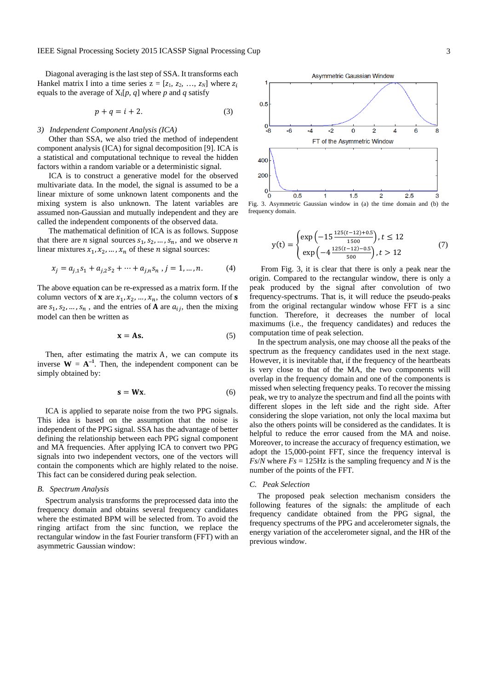Diagonal averaging is the last step of SSA. It transforms each Hankel matrix I into a time series  $z = [z_1, z_2, ..., z_N]$  where  $z_i$ equals to the average of  $X_I[p, q]$  where p and q satisfy

$$
p + q = i + 2. \tag{3}
$$

### *3) Independent Component Analysis (ICA)*

Other than SSA, we also tried the method of independent component analysis (ICA) for signal decomposition [9]. ICA is a statistical and computational technique to reveal the hidden factors within a random variable or a deterministic signal.

ICA is to construct a generative model for the observed multivariate data. In the model, the signal is assumed to be a linear mixture of some unknown latent components and the mixing system is also unknown. The latent variables are assumed non-Gaussian and mutually independent and they are called the independent components of the observed data.

The mathematical definition of ICA is as follows. Suppose that there are *n* signal sources  $s_1, s_2, ..., s_n$ , and we observe *n* linear mixtures  $x_1, x_2, \ldots, x_n$  of these *n* signal sources:

$$
x_j = a_{j,1} s_1 + a_{j,2} s_2 + \dots + a_{j,n} s_n, j = 1, \dots, n. \tag{4}
$$

The above equation can be re-expressed as a matrix form. If the column vectors of **x** are  $x_1, x_2, ..., x_n$ , the column vectors of **s** are  $s_1, s_2, ..., s_n$ , and the entries of **A** are  $a_{ij}$ , then the mixing model can then be written as

$$
\mathbf{x} = \mathbf{A}\mathbf{s}.\tag{5}
$$

Then, after estimating the matrix A, we can compute its inverse  $W = A^{-1}$ . Then, the independent component can be simply obtained by:

$$
s = Wx.
$$
 (6)

ICA is applied to separate noise from the two PPG signals. This idea is based on the assumption that the noise is independent of the PPG signal. SSA has the advantage of better defining the relationship between each PPG signal component and MA frequencies. After applying ICA to convert two PPG signals into two independent vectors, one of the vectors will contain the components which are highly related to the noise. This fact can be considered during peak selection.

## *B. Spectrum Analysis*

Spectrum analysis transforms the preprocessed data into the frequency domain and obtains several frequency candidates where the estimated BPM will be selected from. To avoid the ringing artifact from the sinc function, we replace the rectangular window in the fast Fourier transform (FFT) with an asymmetric Gaussian window:



frequency domain.

$$
y(t) = \begin{cases} \exp\left(-15\frac{125(t-12)+0.5}{1500}\right), t \le 12\\ \exp\left(-4\frac{125(t-12)-0.5}{500}\right), t > 12 \end{cases}
$$
(7)

From Fig. 3, it is clear that there is only a peak near the origin. Compared to the rectangular window, there is only a peak produced by the signal after convolution of two frequency-spectrums. That is, it will reduce the pseudo-peaks from the original rectangular window whose FFT is a sinc function. Therefore, it decreases the number of local maximums (i.e., the frequency candidates) and reduces the computation time of peak selection.

In the spectrum analysis, one may choose all the peaks of the spectrum as the frequency candidates used in the next stage. However, it is inevitable that, if the frequency of the heartbeats is very close to that of the MA, the two components will overlap in the frequency domain and one of the components is missed when selecting frequency peaks. To recover the missing peak, we try to analyze the spectrum and find all the points with different slopes in the left side and the right side. After considering the slope variation, not only the local maxima but also the others points will be considered as the candidates. It is helpful to reduce the error caused from the MA and noise. Moreover, to increase the accuracy of frequency estimation, we adopt the 15,000-point FFT, since the frequency interval is  $Fs/N$  where  $Fs = 125 Hz$  is the sampling frequency and *N* is the number of the points of the FFT.

### *C. Peak Selection*

The proposed peak selection mechanism considers the following features of the signals: the amplitude of each frequency candidate obtained from the PPG signal, the frequency spectrums of the PPG and accelerometer signals, the energy variation of the accelerometer signal, and the HR of the previous window.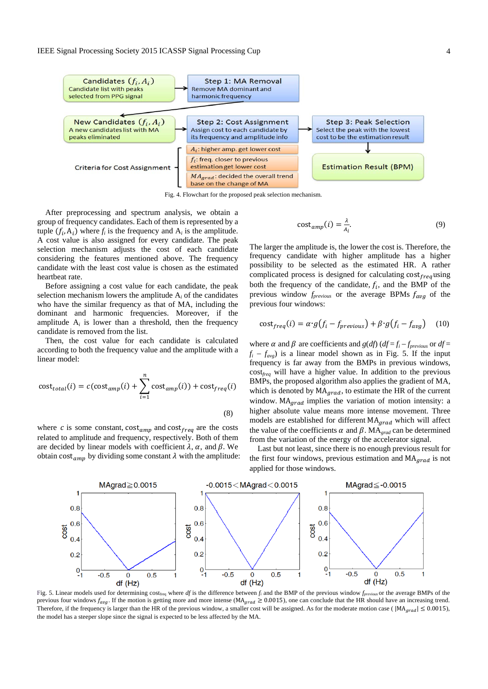

Fig. 4. Flowchart for the proposed peak selection mechanism.

After preprocessing and spectrum analysis, we obtain a group of frequency candidates. Each of them is represented by a tuple  $(f_i, A_i)$  where  $f_i$  is the frequency and  $A_i$  is the amplitude. A cost value is also assigned for every candidate. The peak selection mechanism adjusts the cost of each candidate considering the features mentioned above. The frequency candidate with the least cost value is chosen as the estimated heartbeat rate.

Before assigning a cost value for each candidate, the peak selection mechanism lowers the amplitude  $A_i$  of the candidates who have the similar frequency as that of MA, including the dominant and harmonic frequencies. Moreover, if the amplitude  $A_i$  is lower than a threshold, then the frequency candidate is removed from the list.

Then, the cost value for each candidate is calculated according to both the frequency value and the amplitude with a linear model:

$$
cost_{total}(i) = c(cost_{amp}(i) + \sum_{i=1}^{n} cost_{amp}(i)) + cost_{freq}(i)
$$

(8)

where  $c$  is some constant,  $cost_{amp}$  and  $cost_{freq}$  are the costs related to amplitude and frequency, respectively. Both of them are decided by linear models with coefficient  $\lambda$ ,  $\alpha$ , and  $\beta$ . We obtain cost<sub>amp</sub> by dividing some constant  $\lambda$  with the amplitude:

$$
\cot_{amp}(i) = \frac{\lambda}{A_i}.\tag{9}
$$

The larger the amplitude is, the lower the cost is. Therefore, the frequency candidate with higher amplitude has a higher possibility to be selected as the estimated HR. A rather complicated process is designed for calculating  $cost_{freq}$ using both the frequency of the candidate,  $f_i$ , and the BMP of the previous window  $f_{previous}$  or the average BPMs  $f_{avg}$  of the previous four windows:

$$
\text{cost}_{freq}(i) = \alpha \cdot g(f_i - f_{previous}) + \beta \cdot g(f_i - f_{avg}) \quad (10)
$$

where  $\alpha$  and  $\beta$  are coefficients and  $g(df) (df = f_i - f_{previous}$  or  $df = f_i$  $f_i - f_{avg}$ ) is a linear model shown as in Fig. 5. If the input frequency is far away from the BMPs in previous windows, cost*freq* will have a higher value. In addition to the previous BMPs, the proposed algorithm also applies the gradient of MA, which is denoted by  $MA_{grad}$ , to estimate the HR of the current window.  $MA_{\text{grad}}$  implies the variation of motion intensity: a higher absolute value means more intense movement. Three models are established for different  $MA_{grad}$  which will affect the value of the coefficients  $\alpha$  and  $\beta$ . MA $_{grad}$  can be determined from the variation of the energy of the accelerator signal.

Last but not least, since there is no enough previous result for the first four windows, previous estimation and  $MA_{grad}$  is not applied for those windows.



Fig. 5. Linear models used for determining cost<sub>freq</sub> where *df* is the difference between  $f_i$  and the BMP of the previous window  $f_{previous}$  or the average BMPs of the previous four windows  $f_{avg}$ . If the motion is getting more and more intense (MA<sub>grad</sub>  $\geq$  0.0015), one can conclude that the HR should have an increasing trend. Therefore, if the frequency is larger than the HR of the previous window, a smaller cost will be assigned. As for the moderate motion case ( $|M_{qrad}| \leq 0.0015$ ), the model has a steeper slope since the signal is expected to be less affected by the MA.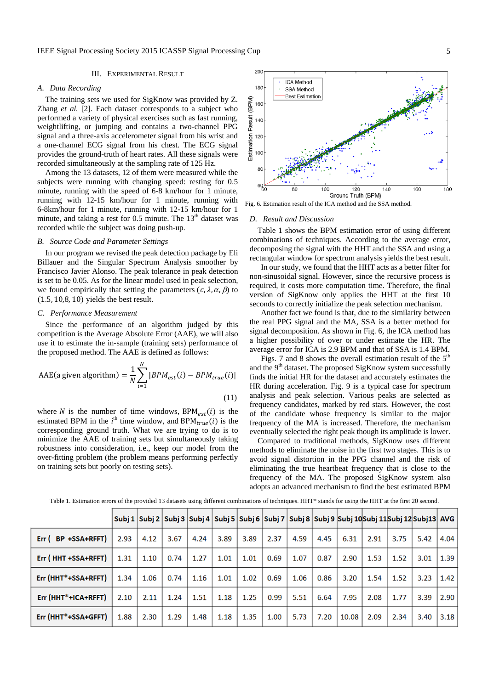# III. EXPERIMENTAL RESULT

#### *A. Data Recording*

The training sets we used for SigKnow was provided by Z. Zhang *et al.* [2]. Each dataset corresponds to a subject who performed a variety of physical exercises such as fast running, weightlifting, or jumping and contains a two-channel PPG signal and a three-axis accelerometer signal from his wrist and a one-channel ECG signal from his chest. The ECG signal provides the ground-truth of heart rates. All these signals were recorded simultaneously at the sampling rate of 125 Hz.

Among the 13 datasets, 12 of them were measured while the subjects were running with changing speed: resting for 0.5 minute, running with the speed of 6-8 km/hour for 1 minute, running with 12-15 km/hour for 1 minute, running with 6-8km/hour for 1 minute, running with 12-15 km/hour for 1 minute, and taking a rest for  $0.5$  minute. The  $13<sup>th</sup>$  dataset was recorded while the subject was doing push-up.

# *B. Source Code and Parameter Settings*

In our program we revised the peak detection package by Eli Billauer and the Singular Spectrum Analysis smoother by Francisco Javier Alonso. The peak tolerance in peak detection is set to be 0.05. As for the linear model used in peak selection, we found empirically that setting the parameters  $(c, \lambda, \alpha, \beta)$  to  $(1.5, 10.8, 10)$  yields the best result.

#### *C. Performance Measurement*

Since the performance of an algorithm judged by this competition is the Average Absolute Error (AAE), we will also use it to estimate the in-sample (training sets) performance of the proposed method. The AAE is defined as follows:

$$
AAE(a given algorithm) = \frac{1}{N} \sum_{i=1}^{N} |BPM_{est}(i) - BPM_{true}(i)|
$$
\n(11)

where N is the number of time windows,  $BPM_{est}(i)$  is the estimated BPM in the  $i^{\text{th}}$  time window, and BPM $_{true}(i)$  is the corresponding ground truth. What we are trying to do is to minimize the AAE of training sets but simultaneously taking robustness into consideration, i.e., keep our model from the over-fitting problem (the problem means performing perfectly on training sets but poorly on testing sets).



Fig. 6. Estimation result of the ICA method and the SSA method.

#### *D. Result and Discussion*

Table 1 shows the BPM estimation error of using different combinations of techniques. According to the average error, decomposing the signal with the HHT and the SSA and using a rectangular window for spectrum analysis yields the best result.

In our study, we found that the HHT acts as a better filter for non-sinusoidal signal. However, since the recursive process is required, it costs more computation time. Therefore, the final version of SigKnow only applies the HHT at the first 10 seconds to correctly initialize the peak selection mechanism.

Another fact we found is that, due to the similarity between the real PPG signal and the MA, SSA is a better method for signal decomposition. As shown in Fig. 6, the ICA method has a higher possibility of over or under estimate the HR. The average error for ICA is 2.9 BPM and that of SSA is 1.4 BPM.

Figs. 7 and 8 shows the overall estimation result of the  $5<sup>th</sup>$ and the 9<sup>th</sup> dataset. The proposed SigKnow system successfully finds the initial HR for the dataset and accurately estimates the HR during acceleration. Fig. 9 is a typical case for spectrum analysis and peak selection. Various peaks are selected as frequency candidates, marked by red stars. However, the cost of the candidate whose frequency is similar to the major frequency of the MA is increased. Therefore, the mechanism eventually selected the right peak though its amplitude is lower.

Compared to traditional methods, SigKnow uses different methods to eliminate the noise in the first two stages. This is to avoid signal distortion in the PPG channel and the risk of eliminating the true heartbeat frequency that is close to the frequency of the MA. The proposed SigKnow system also adopts an advanced mechanism to find the best estimated BPM

|                                  |      | Subj 1   Subj 2   Subj 3   Subj 4   Subj 5   Subj 6   Subj 7   Subj 8   Subj 9  Subj 10 Subj 11 Subj 12 Subj13   AVG |      |      |      |      |      |      |      |       |      |      |      |      |
|----------------------------------|------|----------------------------------------------------------------------------------------------------------------------|------|------|------|------|------|------|------|-------|------|------|------|------|
| $Err( BP +SSA + RFFT)$           | 2.93 | 4.12                                                                                                                 | 3.67 | 4.24 | 3.89 | 3.89 | 2.37 | 4.59 | 4.45 | 6.31  | 2.91 | 3.75 | 5.42 | 4.04 |
| Err (HHT +SSA+RFFT)              | 1.31 | 1.10                                                                                                                 | 0.74 | 1.27 | 1.01 | 1.01 | 0.69 | 1.07 | 0.87 | 2.90  | 1.53 | 1.52 | 3.01 | 1.39 |
| Err (HHT <sup>*</sup> +SSA+RFFT) | 1.34 | 1.06                                                                                                                 | 0.74 | 1.16 | 1.01 | 1.02 | 0.69 | 1.06 | 0.86 | 3.20  | 1.54 | 1.52 | 3.23 | 1.42 |
| Err (HHT <sup>*</sup> +ICA+RFFT) | 2.10 | 2.11                                                                                                                 | 1.24 | 1.51 | 1.18 | 1.25 | 0.99 | 5.51 | 6.64 | 7.95  | 2.08 | 1.77 | 3.39 | 2.90 |
| Err (HHT*+SSA+GFFT)              | 1.88 | 2.30                                                                                                                 | 1.29 | 1.48 | 1.18 | 1.35 | 1.00 | 5.73 | 7.20 | 10.08 | 2.09 | 2.34 | 3.40 | 3.18 |

Table 1. Estimation errors of the provided 13 datasets using different combinations of techniques. HHT\* stands for using the HHT at the first 20 second.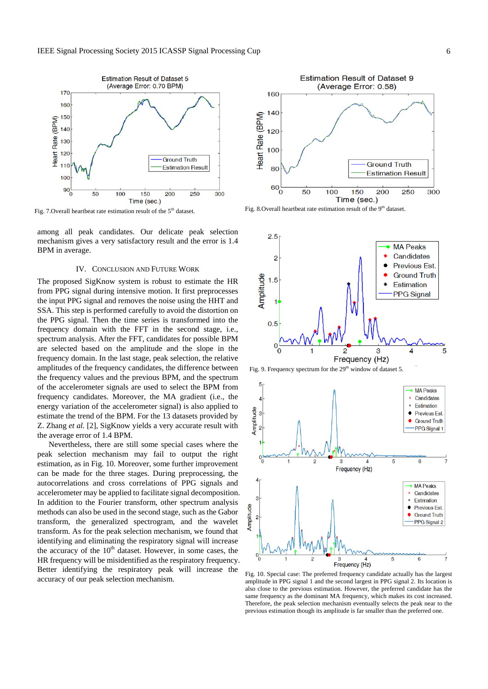

Fig. 7. Overall heartbeat rate estimation result of the 5<sup>th</sup> dataset. Fig. 8. Overall heartbeat rate estimation result of the 9<sup>th</sup> dataset.

among all peak candidates. Our delicate peak selection mechanism gives a very satisfactory result and the error is 1.4 BPM in average.

### IV. CONCLUSION AND FUTURE WORK

The proposed SigKnow system is robust to estimate the HR from PPG signal during intensive motion. It first preprocesses the input PPG signal and removes the noise using the HHT and SSA. This step is performed carefully to avoid the distortion on the PPG signal. Then the time series is transformed into the frequency domain with the FFT in the second stage, i.e., spectrum analysis. After the FFT, candidates for possible BPM are selected based on the amplitude and the slope in the frequency domain. In the last stage, peak selection, the relative amplitudes of the frequency candidates, the difference between the frequency values and the previous BPM, and the spectrum of the accelerometer signals are used to select the BPM from frequency candidates. Moreover, the MA gradient (i.e., the energy variation of the accelerometer signal) is also applied to estimate the trend of the BPM. For the 13 datasets provided by Z. Zhang *et al.* [2], SigKnow yields a very accurate result with the average error of 1.4 BPM.

Nevertheless, there are still some special cases where the peak selection mechanism may fail to output the right estimation, as in Fig. 10. Moreover, some further improvement can be made for the three stages. During preprocessing, the autocorrelations and cross correlations of PPG signals and accelerometer may be applied to facilitate signal decomposition. In addition to the Fourier transform, other spectrum analysis methods can also be used in the second stage, such as the Gabor transform, the generalized spectrogram, and the wavelet transform. As for the peak selection mechanism, we found that identifying and eliminating the respiratory signal will increase the accuracy of the  $10<sup>th</sup>$  dataset. However, in some cases, the HR frequency will be misidentified as the respiratory frequency. Better identifying the respiratory peak will increase the accuracy of our peak selection mechanism.







Fig. 10. Special case: The preferred frequency candidate actually has the largest amplitude in PPG signal 1 and the second largest in PPG signal 2. Its location is also close to the previous estimation. However, the preferred candidate has the same frequency as the dominant MA frequency, which makes its cost increased. Therefore, the peak selection mechanism eventually selects the peak near to the previous estimation though its amplitude is far smaller than the preferred one.